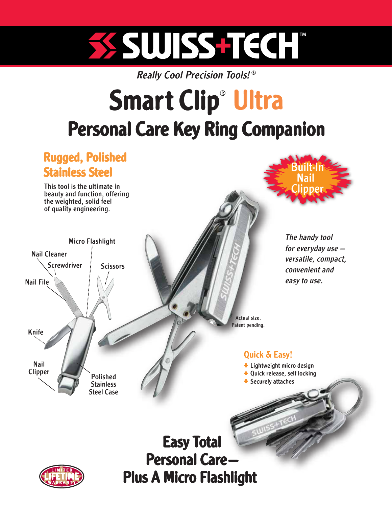# SSUISSTIECH

**Really Cool Precision Tools!®** 

## Smart Clip<sup>®</sup> Ultra Personal Care Key Ring Companion